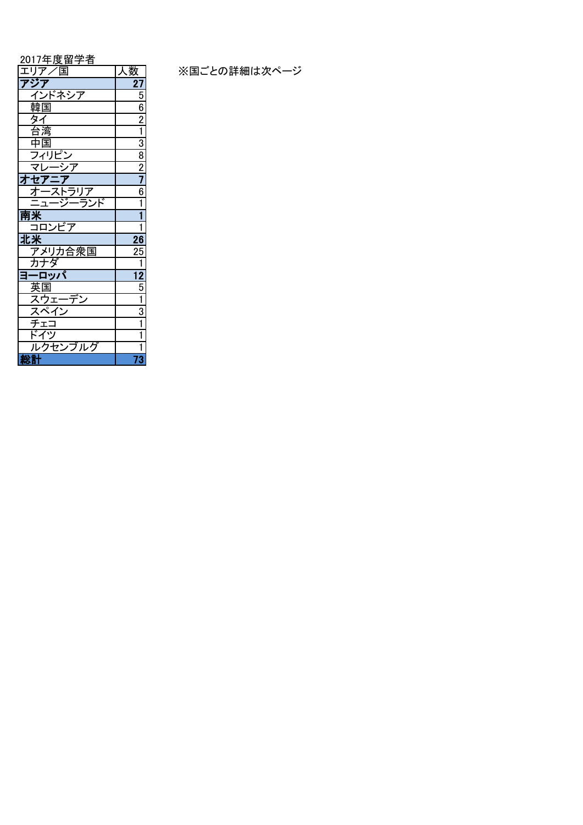2017年度留学者

|                                                    | <u>人致</u>                                                                           |
|----------------------------------------------------|-------------------------------------------------------------------------------------|
| エリ <i>y / 人</i> 国<br><mark>アジア<br/>- インドネシア</mark> | 27                                                                                  |
|                                                    | 5                                                                                   |
|                                                    |                                                                                     |
|                                                    |                                                                                     |
|                                                    | $\frac{6}{2}$ $\frac{2}{1}$ $\frac{3}{8}$ $\frac{8}{2}$ $\frac{7}{7}$ $\frac{6}{6}$ |
|                                                    |                                                                                     |
|                                                    |                                                                                     |
| <u>ন্দ</u><br>マレ                                   |                                                                                     |
| オセアニフ                                              |                                                                                     |
| $\overline{z}$<br><u>・ストラリア<br/>一ジーランド</u>         |                                                                                     |
| 三 <sub>ユ</sub> -                                   | 1                                                                                   |
| 南米                                                 |                                                                                     |
| コロンビア                                              | $\overline{\mathbf{1}}$                                                             |
| 北米                                                 | $\overline{26}$                                                                     |
| アメリカ合衆国                                            | 25                                                                                  |
| カナダ                                                | $\overline{1}$                                                                      |
| ロッパ<br>3-                                          | $\overline{12}$                                                                     |
|                                                    | $\frac{5}{1}$                                                                       |
|                                                    |                                                                                     |
|                                                    | $\overline{3}$                                                                      |
| - 英国<br>英国<br>スペイン<br>スペエコ<br>ドイソ                  | 1                                                                                   |
|                                                    | 1                                                                                   |
| ルクセンブルグ                                            | 1                                                                                   |
| 総計                                                 | 73                                                                                  |

※国ごとの詳細は次ページ